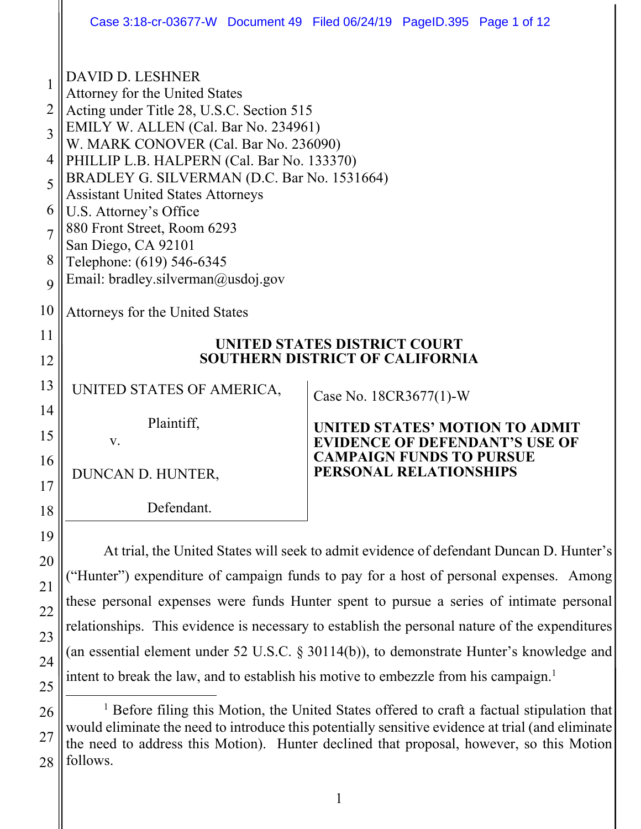|                                                                                                          |                                                                                                                                                                                                                                                                                                                                                                                                                                                                                     | Case 3:18-cr-03677-W Document 49 Filed 06/24/19 PageID.395 Page 1 of 12                                                              |
|----------------------------------------------------------------------------------------------------------|-------------------------------------------------------------------------------------------------------------------------------------------------------------------------------------------------------------------------------------------------------------------------------------------------------------------------------------------------------------------------------------------------------------------------------------------------------------------------------------|--------------------------------------------------------------------------------------------------------------------------------------|
| $\mathbf{1}$<br>$\overline{2}$<br>$\overline{3}$<br>$\overline{4}$<br>5<br>6<br>$\overline{7}$<br>8<br>9 | <b>DAVID D. LESHNER</b><br>Attorney for the United States<br>Acting under Title 28, U.S.C. Section 515<br>EMILY W. ALLEN (Cal. Bar No. 234961)<br>W. MARK CONOVER (Cal. Bar No. 236090)<br>PHILLIP L.B. HALPERN (Cal. Bar No. 133370)<br>BRADLEY G. SILVERMAN (D.C. Bar No. 1531664)<br><b>Assistant United States Attorneys</b><br>U.S. Attorney's Office<br>880 Front Street, Room 6293<br>San Diego, CA 92101<br>Telephone: (619) 546-6345<br>Email: bradley.silverman@usdoj.gov |                                                                                                                                      |
| 10                                                                                                       | Attorneys for the United States                                                                                                                                                                                                                                                                                                                                                                                                                                                     |                                                                                                                                      |
| 11<br>12<br>13<br>14                                                                                     | <b>UNITED STATES DISTRICT COURT</b><br><b>SOUTHERN DISTRICT OF CALIFORNIA</b><br>UNITED STATES OF AMERICA,<br>Case No. 18CR3677(1)-W                                                                                                                                                                                                                                                                                                                                                |                                                                                                                                      |
| 15<br>16                                                                                                 | Plaintiff,<br>V.<br>DUNCAN D. HUNTER,                                                                                                                                                                                                                                                                                                                                                                                                                                               | UNITED STATES' MOTION TO ADMIT<br><b>EVIDENCE OF DEFENDANT'S USE OF</b><br><b>CAMPAIGN FUNDS TO PURSUE</b><br>PERSONAL RELATIONSHIPS |
| 17<br>18<br>19                                                                                           | Defendant.                                                                                                                                                                                                                                                                                                                                                                                                                                                                          |                                                                                                                                      |

At trial, the United States will seek to admit evidence of defendant Duncan D. Hunter's ("Hunter") expenditure of campaign funds to pay for a host of personal expenses. Among these personal expenses were funds Hunter spent to pursue a series of intimate personal relationships. This evidence is necessary to establish the personal nature of the expenditures (an essential element under 52 U.S.C. § 30114(b)), to demonstrate Hunter's knowledge and intent to break the law, and to establish his motive to embezzle from his campaign.<sup>1</sup>

20

21

22

23

24

<sup>26</sup>  27 28 <u>1</u> <sup>1</sup> Before filing this Motion, the United States offered to craft a factual stipulation that would eliminate the need to introduce this potentially sensitive evidence at trial (and eliminate the need to address this Motion). Hunter declined that proposal, however, so this Motion follows.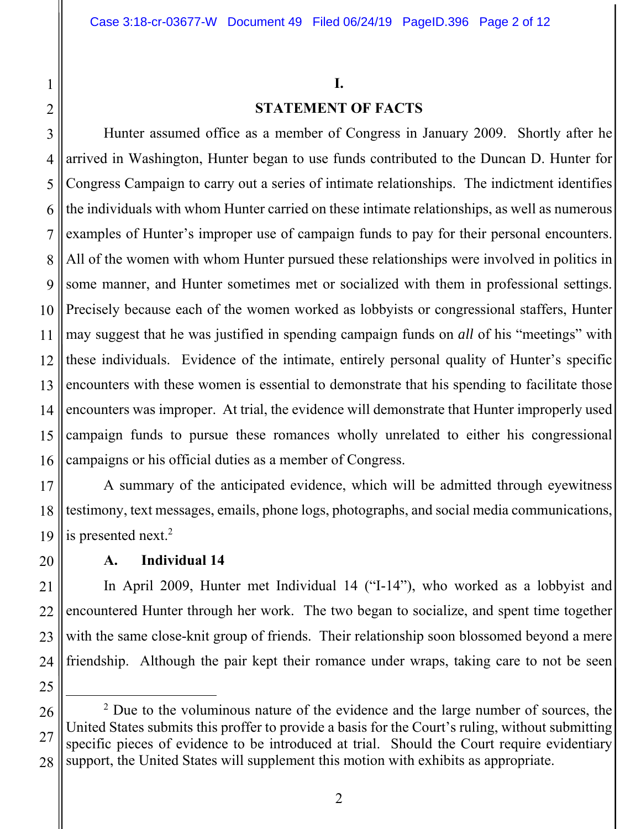# **I.**

## **STATEMENT OF FACTS**

3 4 5 6 7 8 9 10 11 12 13 14 15 16 Hunter assumed office as a member of Congress in January 2009. Shortly after he arrived in Washington, Hunter began to use funds contributed to the Duncan D. Hunter for Congress Campaign to carry out a series of intimate relationships. The indictment identifies the individuals with whom Hunter carried on these intimate relationships, as well as numerous examples of Hunter's improper use of campaign funds to pay for their personal encounters. All of the women with whom Hunter pursued these relationships were involved in politics in some manner, and Hunter sometimes met or socialized with them in professional settings. Precisely because each of the women worked as lobbyists or congressional staffers, Hunter may suggest that he was justified in spending campaign funds on *all* of his "meetings" with these individuals. Evidence of the intimate, entirely personal quality of Hunter's specific encounters with these women is essential to demonstrate that his spending to facilitate those encounters was improper. At trial, the evidence will demonstrate that Hunter improperly used campaign funds to pursue these romances wholly unrelated to either his congressional campaigns or his official duties as a member of Congress.

17 18 19 A summary of the anticipated evidence, which will be admitted through eyewitness testimony, text messages, emails, phone logs, photographs, and social media communications, is presented next. $2$ 

## **A. Individual 14**

21 22 23 24 In April 2009, Hunter met Individual 14 ("I-14"), who worked as a lobbyist and encountered Hunter through her work. The two began to socialize, and spent time together with the same close-knit group of friends. Their relationship soon blossomed beyond a mere friendship. Although the pair kept their romance under wraps, taking care to not be seen

25

20

1

<sup>26</sup>  27 28 2  $2$  Due to the voluminous nature of the evidence and the large number of sources, the United States submits this proffer to provide a basis for the Court's ruling, without submitting specific pieces of evidence to be introduced at trial. Should the Court require evidentiary support, the United States will supplement this motion with exhibits as appropriate.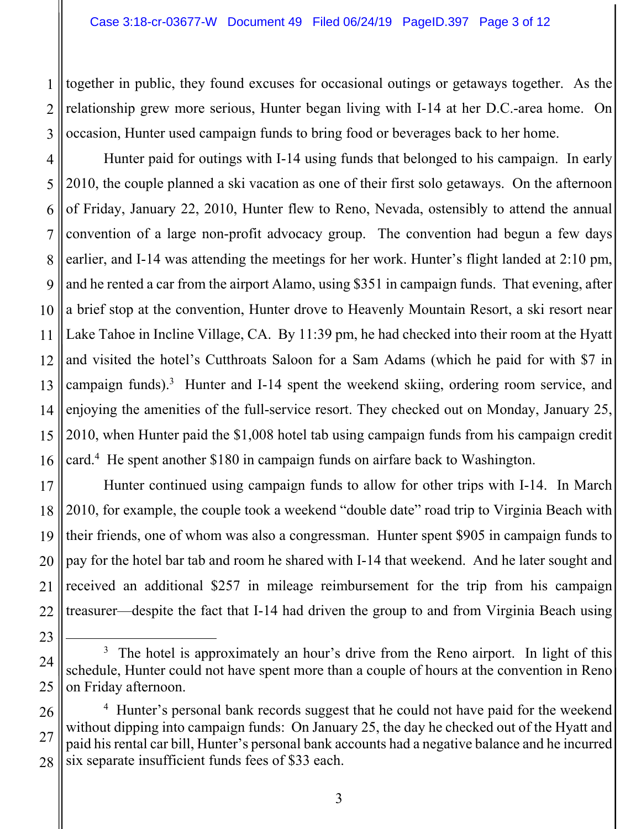1

2

3

23

together in public, they found excuses for occasional outings or getaways together. As the relationship grew more serious, Hunter began living with I-14 at her D.C.-area home. On occasion, Hunter used campaign funds to bring food or beverages back to her home.

4 5 6 7 8 9 10 11 12 13 14 15 16 Hunter paid for outings with I-14 using funds that belonged to his campaign. In early 2010, the couple planned a ski vacation as one of their first solo getaways. On the afternoon of Friday, January 22, 2010, Hunter flew to Reno, Nevada, ostensibly to attend the annual convention of a large non-profit advocacy group. The convention had begun a few days earlier, and I-14 was attending the meetings for her work. Hunter's flight landed at 2:10 pm, and he rented a car from the airport Alamo, using \$351 in campaign funds. That evening, after a brief stop at the convention, Hunter drove to Heavenly Mountain Resort, a ski resort near Lake Tahoe in Incline Village, CA. By 11:39 pm, he had checked into their room at the Hyatt and visited the hotel's Cutthroats Saloon for a Sam Adams (which he paid for with \$7 in campaign funds).<sup>3</sup> Hunter and I-14 spent the weekend skiing, ordering room service, and enjoying the amenities of the full-service resort. They checked out on Monday, January 25, 2010, when Hunter paid the \$1,008 hotel tab using campaign funds from his campaign credit card.4 He spent another \$180 in campaign funds on airfare back to Washington.

17 18 19 20 21 22 Hunter continued using campaign funds to allow for other trips with I-14. In March 2010, for example, the couple took a weekend "double date" road trip to Virginia Beach with their friends, one of whom was also a congressman. Hunter spent \$905 in campaign funds to pay for the hotel bar tab and room he shared with I-14 that weekend. And he later sought and received an additional \$257 in mileage reimbursement for the trip from his campaign treasurer—despite the fact that I-14 had driven the group to and from Virginia Beach using

<sup>24</sup>  25  $\overline{\phantom{a}}$ <sup>3</sup> The hotel is approximately an hour's drive from the Reno airport. In light of this schedule, Hunter could not have spent more than a couple of hours at the convention in Reno on Friday afternoon.

<sup>26</sup>  27 28 <sup>4</sup> Hunter's personal bank records suggest that he could not have paid for the weekend without dipping into campaign funds: On January 25, the day he checked out of the Hyatt and paid his rental car bill, Hunter's personal bank accounts had a negative balance and he incurred six separate insufficient funds fees of \$33 each.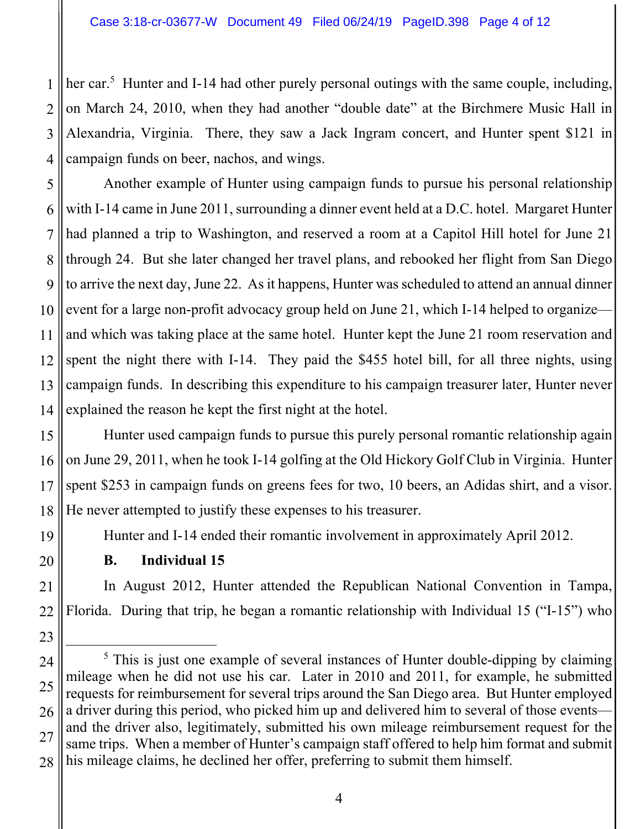1 2 3 4 her car.<sup>5</sup> Hunter and I-14 had other purely personal outings with the same couple, including, on March 24, 2010, when they had another "double date" at the Birchmere Music Hall in Alexandria, Virginia. There, they saw a Jack Ingram concert, and Hunter spent \$121 in campaign funds on beer, nachos, and wings.

5 6 7 8  $\mathbf Q$ 10 11 12 13 14 Another example of Hunter using campaign funds to pursue his personal relationship with I-14 came in June 2011, surrounding a dinner event held at a D.C. hotel. Margaret Hunter had planned a trip to Washington, and reserved a room at a Capitol Hill hotel for June 21 through 24. But she later changed her travel plans, and rebooked her flight from San Diego to arrive the next day, June 22. As it happens, Hunter was scheduled to attend an annual dinner event for a large non-profit advocacy group held on June 21, which I-14 helped to organize and which was taking place at the same hotel. Hunter kept the June 21 room reservation and spent the night there with I-14. They paid the \$455 hotel bill, for all three nights, using campaign funds. In describing this expenditure to his campaign treasurer later, Hunter never explained the reason he kept the first night at the hotel.

15 16 17 18 Hunter used campaign funds to pursue this purely personal romantic relationship again on June 29, 2011, when he took I-14 golfing at the Old Hickory Golf Club in Virginia. Hunter spent \$253 in campaign funds on greens fees for two, 10 beers, an Adidas shirt, and a visor. He never attempted to justify these expenses to his treasurer.

Hunter and I-14 ended their romantic involvement in approximately April 2012.

19

20

23

**B. Individual 15** 

21 22 In August 2012, Hunter attended the Republican National Convention in Tampa, Florida. During that trip, he began a romantic relationship with Individual 15 ("I-15") who

<sup>24</sup>  25 26 27 28  $rac{1}{5}$  $\frac{5}{10}$ . This is just one example of several instances of Hunter double-dipping by claiming mileage when he did not use his car. Later in 2010 and 2011, for example, he submitted requests for reimbursement for several trips around the San Diego area. But Hunter employed a driver during this period, who picked him up and delivered him to several of those events and the driver also, legitimately, submitted his own mileage reimbursement request for the same trips. When a member of Hunter's campaign staff offered to help him format and submit his mileage claims, he declined her offer, preferring to submit them himself.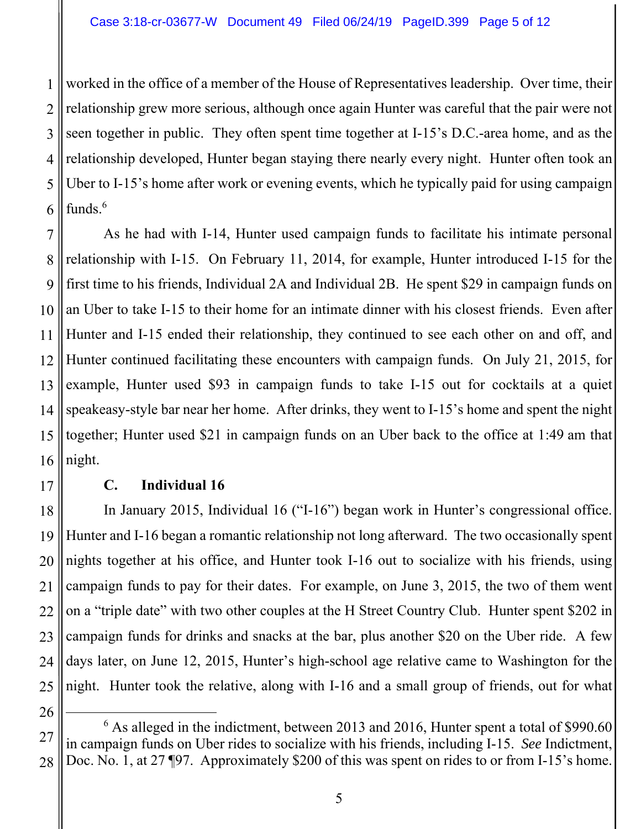1 2 3 4 5 6 worked in the office of a member of the House of Representatives leadership. Over time, their relationship grew more serious, although once again Hunter was careful that the pair were not seen together in public. They often spent time together at I-15's D.C.-area home, and as the relationship developed, Hunter began staying there nearly every night. Hunter often took an Uber to I-15's home after work or evening events, which he typically paid for using campaign funds.6

7 8 9 10 11 12 13 14 15 16 As he had with I-14, Hunter used campaign funds to facilitate his intimate personal relationship with I-15. On February 11, 2014, for example, Hunter introduced I-15 for the first time to his friends, Individual 2A and Individual 2B. He spent \$29 in campaign funds on an Uber to take I-15 to their home for an intimate dinner with his closest friends. Even after Hunter and I-15 ended their relationship, they continued to see each other on and off, and Hunter continued facilitating these encounters with campaign funds. On July 21, 2015, for example, Hunter used \$93 in campaign funds to take I-15 out for cocktails at a quiet speakeasy-style bar near her home. After drinks, they went to I-15's home and spent the night together; Hunter used \$21 in campaign funds on an Uber back to the office at 1:49 am that night.

17

## **C. Individual 16**

18 19 20 21 22 23 24 25 In January 2015, Individual 16 ("I-16") began work in Hunter's congressional office. Hunter and I-16 began a romantic relationship not long afterward. The two occasionally spent nights together at his office, and Hunter took I-16 out to socialize with his friends, using campaign funds to pay for their dates. For example, on June 3, 2015, the two of them went on a "triple date" with two other couples at the H Street Country Club. Hunter spent \$202 in campaign funds for drinks and snacks at the bar, plus another \$20 on the Uber ride. A few days later, on June 12, 2015, Hunter's high-school age relative came to Washington for the night. Hunter took the relative, along with I-16 and a small group of friends, out for what

<sup>27</sup>  28 6 <sup>6</sup> As alleged in the indictment, between 2013 and 2016, Hunter spent a total of \$990.60 in campaign funds on Uber rides to socialize with his friends, including I-15. *See* Indictment, Doc. No. 1, at 27 [97. Approximately \$200 of this was spent on rides to or from I-15's home.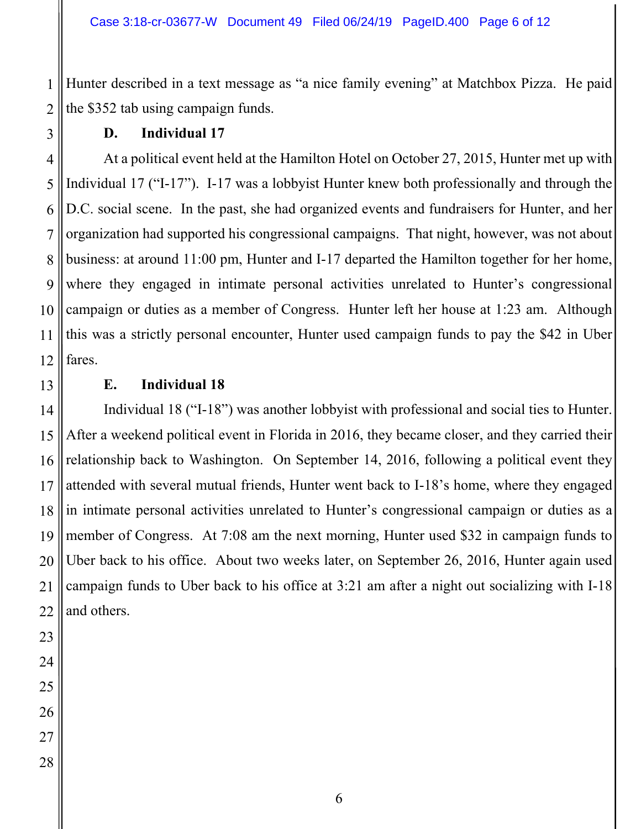Hunter described in a text message as "a nice family evening" at Matchbox Pizza. He paid the \$352 tab using campaign funds.

1

### **D. Individual 17**

At a political event held at the Hamilton Hotel on October 27, 2015, Hunter met up with Individual 17 ("I-17"). I-17 was a lobbyist Hunter knew both professionally and through the D.C. social scene. In the past, she had organized events and fundraisers for Hunter, and her organization had supported his congressional campaigns. That night, however, was not about business: at around 11:00 pm, Hunter and I-17 departed the Hamilton together for her home, where they engaged in intimate personal activities unrelated to Hunter's congressional campaign or duties as a member of Congress. Hunter left her house at 1:23 am. Although this was a strictly personal encounter, Hunter used campaign funds to pay the \$42 in Uber fares.

13

## **E. Individual 18**

14 15 16 17 18 19 20 21 22 Individual 18 ("I-18") was another lobbyist with professional and social ties to Hunter. After a weekend political event in Florida in 2016, they became closer, and they carried their relationship back to Washington. On September 14, 2016, following a political event they attended with several mutual friends, Hunter went back to I-18's home, where they engaged in intimate personal activities unrelated to Hunter's congressional campaign or duties as a member of Congress. At 7:08 am the next morning, Hunter used \$32 in campaign funds to Uber back to his office. About two weeks later, on September 26, 2016, Hunter again used campaign funds to Uber back to his office at 3:21 am after a night out socializing with I-18 and others.

6

- 23 24
- 25 26

27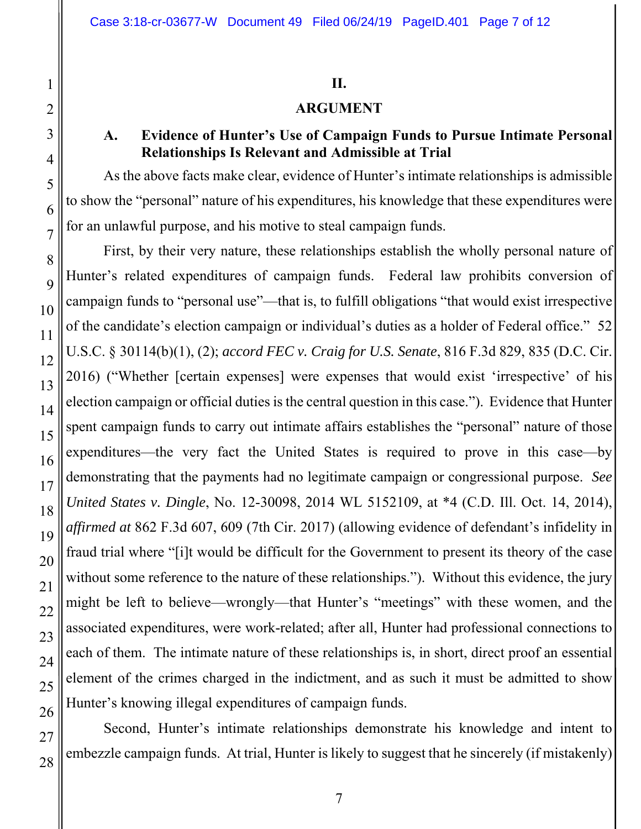#### **II.**

## **ARGUMENT**

#### **A. Evidence of Hunter's Use of Campaign Funds to Pursue Intimate Personal Relationships Is Relevant and Admissible at Trial**

As the above facts make clear, evidence of Hunter's intimate relationships is admissible to show the "personal" nature of his expenditures, his knowledge that these expenditures were for an unlawful purpose, and his motive to steal campaign funds.

First, by their very nature, these relationships establish the wholly personal nature of Hunter's related expenditures of campaign funds. Federal law prohibits conversion of campaign funds to "personal use"—that is, to fulfill obligations "that would exist irrespective of the candidate's election campaign or individual's duties as a holder of Federal office." 52 U.S.C. § 30114(b)(1), (2); *accord FEC v. Craig for U.S. Senate*, 816 F.3d 829, 835 (D.C. Cir. 2016) ("Whether [certain expenses] were expenses that would exist 'irrespective' of his election campaign or official duties is the central question in this case."). Evidence that Hunter spent campaign funds to carry out intimate affairs establishes the "personal" nature of those expenditures—the very fact the United States is required to prove in this case—by demonstrating that the payments had no legitimate campaign or congressional purpose. *See United States v. Dingle*, No. 12-30098, 2014 WL 5152109, at \*4 (C.D. Ill. Oct. 14, 2014), *affirmed at* 862 F.3d 607, 609 (7th Cir. 2017) (allowing evidence of defendant's infidelity in fraud trial where "[i]t would be difficult for the Government to present its theory of the case without some reference to the nature of these relationships."). Without this evidence, the jury might be left to believe—wrongly—that Hunter's "meetings" with these women, and the associated expenditures, were work-related; after all, Hunter had professional connections to each of them. The intimate nature of these relationships is, in short, direct proof an essential element of the crimes charged in the indictment, and as such it must be admitted to show Hunter's knowing illegal expenditures of campaign funds.

Second, Hunter's intimate relationships demonstrate his knowledge and intent to embezzle campaign funds. At trial, Hunter is likely to suggest that he sincerely (if mistakenly)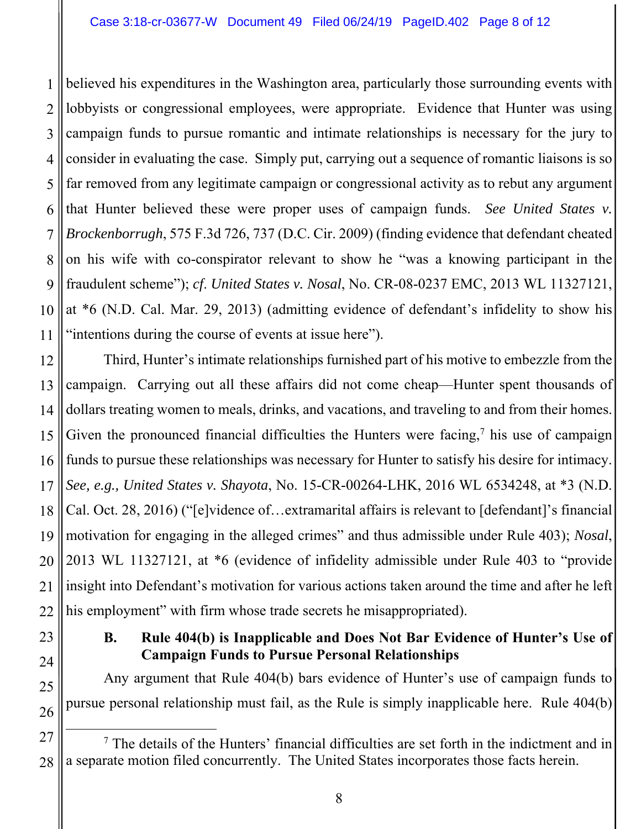1 2 3 4 5 6 7 8 9 10 11 believed his expenditures in the Washington area, particularly those surrounding events with lobbyists or congressional employees, were appropriate. Evidence that Hunter was using campaign funds to pursue romantic and intimate relationships is necessary for the jury to consider in evaluating the case. Simply put, carrying out a sequence of romantic liaisons is so far removed from any legitimate campaign or congressional activity as to rebut any argument that Hunter believed these were proper uses of campaign funds. *See United States v. Brockenborrugh*, 575 F.3d 726, 737 (D.C. Cir. 2009) (finding evidence that defendant cheated on his wife with co-conspirator relevant to show he "was a knowing participant in the fraudulent scheme"); *cf*. *United States v. Nosal*, No. CR-08-0237 EMC, 2013 WL 11327121, at \*6 (N.D. Cal. Mar. 29, 2013) (admitting evidence of defendant's infidelity to show his "intentions during the course of events at issue here").

12 13 14 15 16 17 18 19 20 21 22 Third, Hunter's intimate relationships furnished part of his motive to embezzle from the campaign. Carrying out all these affairs did not come cheap—Hunter spent thousands of dollars treating women to meals, drinks, and vacations, and traveling to and from their homes. Given the pronounced financial difficulties the Hunters were facing,<sup>7</sup> his use of campaign funds to pursue these relationships was necessary for Hunter to satisfy his desire for intimacy. *See, e.g., United States v. Shayota*, No. 15-CR-00264-LHK, 2016 WL 6534248, at \*3 (N.D. Cal. Oct. 28, 2016) ("[e]vidence of…extramarital affairs is relevant to [defendant]'s financial motivation for engaging in the alleged crimes" and thus admissible under Rule 403); *Nosal*, 2013 WL 11327121, at \*6 (evidence of infidelity admissible under Rule 403 to "provide insight into Defendant's motivation for various actions taken around the time and after he left his employment" with firm whose trade secrets he misappropriated).

## **B. Rule 404(b) is Inapplicable and Does Not Bar Evidence of Hunter's Use of Campaign Funds to Pursue Personal Relationships**

Any argument that Rule 404(b) bars evidence of Hunter's use of campaign funds to pursue personal relationship must fail, as the Rule is simply inapplicable here. Rule 404(b)

23

24

25

<sup>27</sup>  28 7 <sup>7</sup> The details of the Hunters' financial difficulties are set forth in the indictment and in a separate motion filed concurrently. The United States incorporates those facts herein.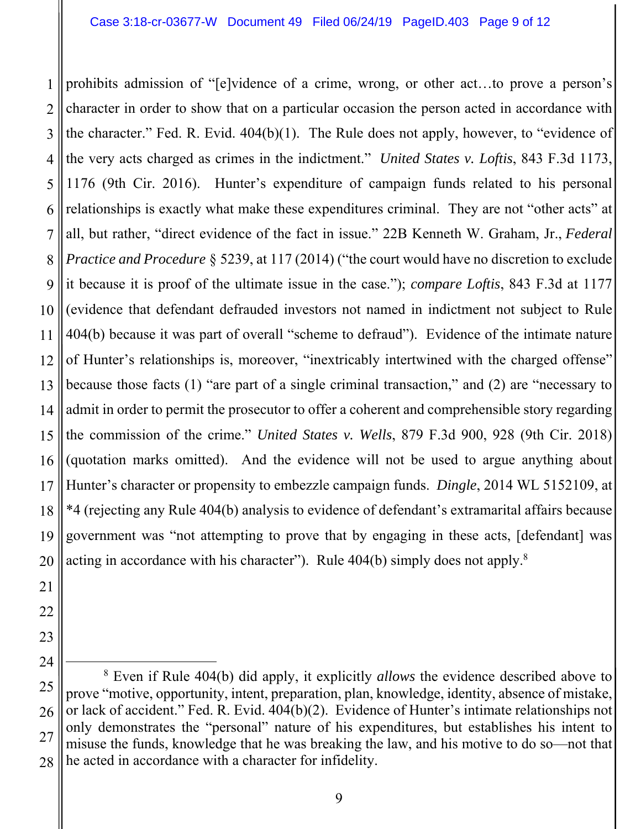1 2 3 4 5 6 7 8 9 10 11 12 13 14 15 16 17 18 19 prohibits admission of "[e]vidence of a crime, wrong, or other act…to prove a person's character in order to show that on a particular occasion the person acted in accordance with the character." Fed. R. Evid. 404(b)(1). The Rule does not apply, however, to "evidence of the very acts charged as crimes in the indictment." *United States v. Loftis*, 843 F.3d 1173, 1176 (9th Cir. 2016). Hunter's expenditure of campaign funds related to his personal relationships is exactly what make these expenditures criminal. They are not "other acts" at all, but rather, "direct evidence of the fact in issue." 22B Kenneth W. Graham, Jr., *Federal Practice and Procedure* § 5239, at 117 (2014) ("the court would have no discretion to exclude it because it is proof of the ultimate issue in the case."); *compare Loftis*, 843 F.3d at 1177 (evidence that defendant defrauded investors not named in indictment not subject to Rule 404(b) because it was part of overall "scheme to defraud"). Evidence of the intimate nature of Hunter's relationships is, moreover, "inextricably intertwined with the charged offense" because those facts (1) "are part of a single criminal transaction," and (2) are "necessary to admit in order to permit the prosecutor to offer a coherent and comprehensible story regarding the commission of the crime." *United States v. Wells*, 879 F.3d 900, 928 (9th Cir. 2018) (quotation marks omitted). And the evidence will not be used to argue anything about Hunter's character or propensity to embezzle campaign funds. *Dingle*, 2014 WL 5152109, at \*4 (rejecting any Rule 404(b) analysis to evidence of defendant's extramarital affairs because government was "not attempting to prove that by engaging in these acts, [defendant] was acting in accordance with his character"). Rule  $404(b)$  simply does not apply.<sup>8</sup>

<sup>20</sup>  21 22 23 24 25

<sup>26</sup>  27 28 8 Even if Rule 404(b) did apply, it explicitly *allows* the evidence described above to prove "motive, opportunity, intent, preparation, plan, knowledge, identity, absence of mistake, or lack of accident." Fed. R. Evid. 404(b)(2). Evidence of Hunter's intimate relationships not only demonstrates the "personal" nature of his expenditures, but establishes his intent to misuse the funds, knowledge that he was breaking the law, and his motive to do so—not that he acted in accordance with a character for infidelity.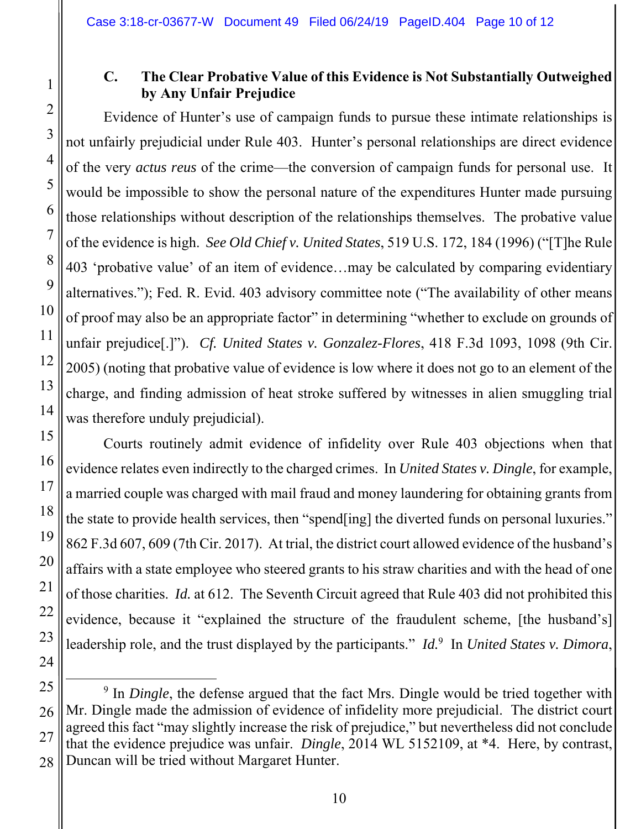1

2

3

4

5

6

7

8

9

10

11

12

13

14

15

16

17

18

19

20

21

22

23

24

## **C. The Clear Probative Value of this Evidence is Not Substantially Outweighed by Any Unfair Prejudice**

Evidence of Hunter's use of campaign funds to pursue these intimate relationships is not unfairly prejudicial under Rule 403. Hunter's personal relationships are direct evidence of the very *actus reus* of the crime—the conversion of campaign funds for personal use. It would be impossible to show the personal nature of the expenditures Hunter made pursuing those relationships without description of the relationships themselves. The probative value of the evidence is high. *See Old Chief v. United States*, 519 U.S. 172, 184 (1996) ("[T]he Rule 403 'probative value' of an item of evidence…may be calculated by comparing evidentiary alternatives."); Fed. R. Evid. 403 advisory committee note ("The availability of other means of proof may also be an appropriate factor" in determining "whether to exclude on grounds of unfair prejudice[.]"). *Cf. United States v. Gonzalez-Flores*, 418 F.3d 1093, 1098 (9th Cir. 2005) (noting that probative value of evidence is low where it does not go to an element of the charge, and finding admission of heat stroke suffered by witnesses in alien smuggling trial was therefore unduly prejudicial).

Courts routinely admit evidence of infidelity over Rule 403 objections when that evidence relates even indirectly to the charged crimes. In *United States v. Dingle*, for example, a married couple was charged with mail fraud and money laundering for obtaining grants from the state to provide health services, then "spend[ing] the diverted funds on personal luxuries." 862 F.3d 607, 609 (7th Cir. 2017). At trial, the district court allowed evidence of the husband's affairs with a state employee who steered grants to his straw charities and with the head of one of those charities. *Id.* at 612. The Seventh Circuit agreed that Rule 403 did not prohibited this evidence, because it "explained the structure of the fraudulent scheme, [the husband's] leadership role, and the trust displayed by the participants." *Id.*<sup>9</sup> In *United States v. Dimora*,

25 26 27 28 9 <sup>9</sup> In *Dingle*, the defense argued that the fact Mrs. Dingle would be tried together with Mr. Dingle made the admission of evidence of infidelity more prejudicial. The district court agreed this fact "may slightly increase the risk of prejudice," but nevertheless did not conclude that the evidence prejudice was unfair. *Dingle*, 2014 WL 5152109, at \*4. Here, by contrast, Duncan will be tried without Margaret Hunter.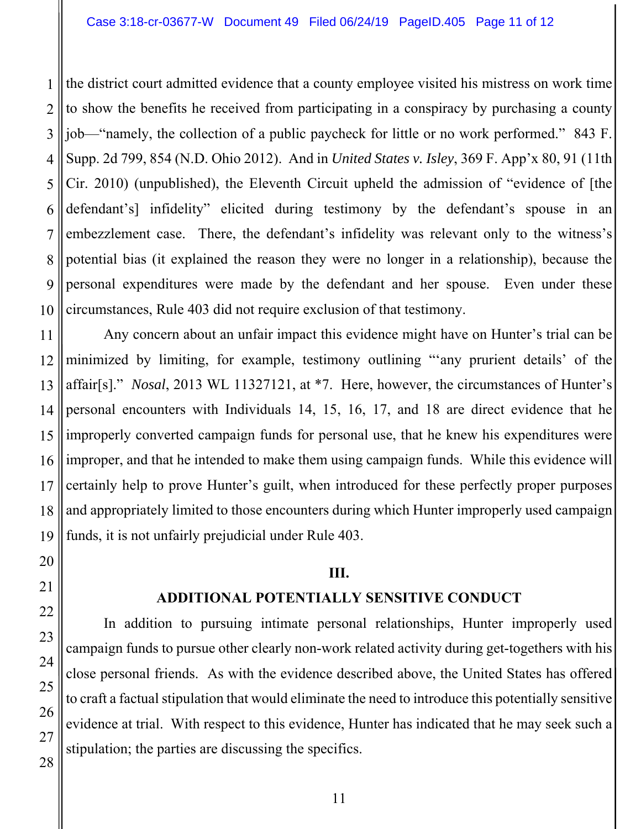1 2 3 4 5 6 7 8 9 10 the district court admitted evidence that a county employee visited his mistress on work time to show the benefits he received from participating in a conspiracy by purchasing a county job—"namely, the collection of a public paycheck for little or no work performed." 843 F. Supp. 2d 799, 854 (N.D. Ohio 2012). And in *United States v. Isley*, 369 F. App'x 80, 91 (11th Cir. 2010) (unpublished), the Eleventh Circuit upheld the admission of "evidence of [the defendant's] infidelity" elicited during testimony by the defendant's spouse in an embezzlement case. There, the defendant's infidelity was relevant only to the witness's potential bias (it explained the reason they were no longer in a relationship), because the personal expenditures were made by the defendant and her spouse. Even under these circumstances, Rule 403 did not require exclusion of that testimony.

11 12 Any concern about an unfair impact this evidence might have on Hunter's trial can be minimized by limiting, for example, testimony outlining "'any prurient details' of the affair[s]." *Nosal*, 2013 WL 11327121, at \*7. Here, however, the circumstances of Hunter's personal encounters with Individuals 14, 15, 16, 17, and 18 are direct evidence that he improperly converted campaign funds for personal use, that he knew his expenditures were improper, and that he intended to make them using campaign funds. While this evidence will certainly help to prove Hunter's guilt, when introduced for these perfectly proper purposes and appropriately limited to those encounters during which Hunter improperly used campaign funds, it is not unfairly prejudicial under Rule 403.

#### **III.**

## **ADDITIONAL POTENTIALLY SENSITIVE CONDUCT**

In addition to pursuing intimate personal relationships, Hunter improperly used campaign funds to pursue other clearly non-work related activity during get-togethers with his close personal friends. As with the evidence described above, the United States has offered to craft a factual stipulation that would eliminate the need to introduce this potentially sensitive evidence at trial. With respect to this evidence, Hunter has indicated that he may seek such a stipulation; the parties are discussing the specifics.